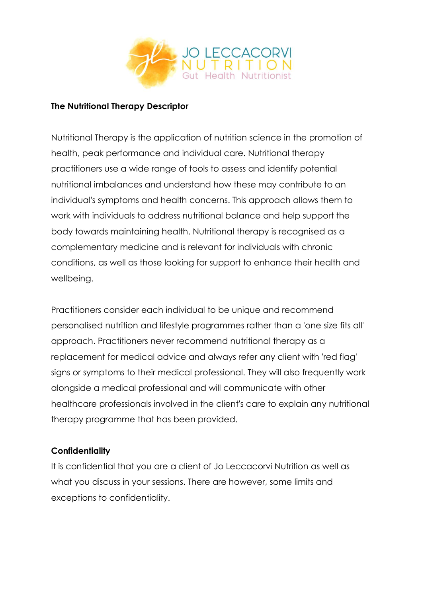

#### **The Nutritional Therapy Descriptor**

Nutritional Therapy is the application of nutrition science in the promotion of health, peak performance and individual care. Nutritional therapy practitioners use a wide range of tools to assess and identify potential nutritional imbalances and understand how these may contribute to an individual's symptoms and health concerns. This approach allows them to work with individuals to address nutritional balance and help support the body towards maintaining health. Nutritional therapy is recognised as a complementary medicine and is relevant for individuals with chronic conditions, as well as those looking for support to enhance their health and wellbeing.

Practitioners consider each individual to be unique and recommend personalised nutrition and lifestyle programmes rather than a 'one size fits all' approach. Practitioners never recommend nutritional therapy as a replacement for medical advice and always refer any client with 'red flag' signs or symptoms to their medical professional. They will also frequently work alongside a medical professional and will communicate with other healthcare professionals involved in the client's care to explain any nutritional therapy programme that has been provided.

#### **Confidentiality**

It is confidential that you are a client of Jo Leccacorvi Nutrition as well as what you discuss in your sessions. There are however, some limits and exceptions to confidentiality.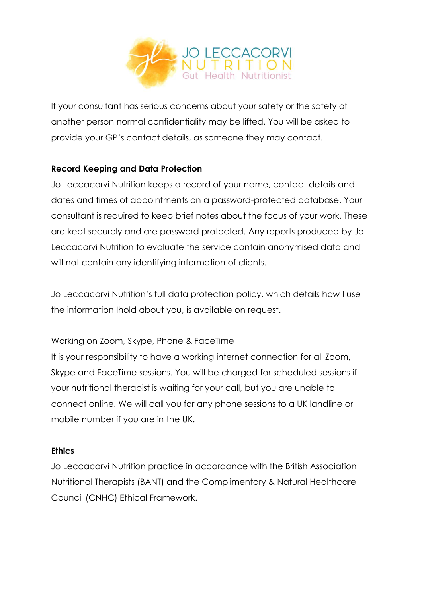

If your consultant has serious concerns about your safety or the safety of another person normal confidentiality may be lifted. You will be asked to provide your GP's contact details, as someone they may contact.

# **Record Keeping and Data Protection**

Jo Leccacorvi Nutrition keeps a record of your name, contact details and dates and times of appointments on a password-protected database. Your consultant is required to keep brief notes about the focus of your work. These are kept securely and are password protected. Any reports produced by Jo Leccacorvi Nutrition to evaluate the service contain anonymised data and will not contain any identifying information of clients.

Jo Leccacorvi Nutrition's full data protection policy, which details how I use the information Ihold about you, is available on request.

## Working on Zoom, Skype, Phone & FaceTime

It is your responsibility to have a working internet connection for all Zoom, Skype and FaceTime sessions. You will be charged for scheduled sessions if your nutritional therapist is waiting for your call, but you are unable to connect online. We will call you for any phone sessions to a UK landline or mobile number if you are in the UK.

## **Ethics**

Jo Leccacorvi Nutrition practice in accordance with the British Association Nutritional Therapists (BANT) and the Complimentary & Natural Healthcare Council (CNHC) Ethical Framework.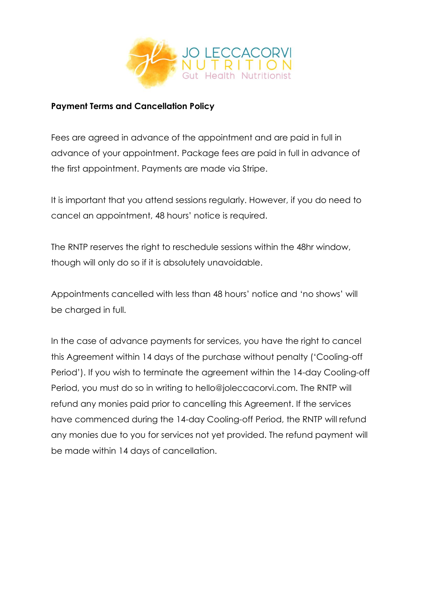

#### **Payment Terms and Cancellation Policy**

Fees are agreed in advance of the appointment and are paid in full in advance of your appointment. Package fees are paid in full in advance of the first appointment. Payments are made via Stripe.

It is important that you attend sessions regularly. However, if you do need to cancel an appointment, 48 hours' notice is required.

The RNTP reserves the right to reschedule sessions within the 48hr window, though will only do so if it is absolutely unavoidable.

Appointments cancelled with less than 48 hours' notice and 'no shows' will be charged in full.

In the case of advance payments for services, you have the right to cancel this Agreement within 14 days of the purchase without penalty ('Cooling-off Period'). If you wish to terminate the agreement within the 14-day Cooling-off Period, you must do so in writing to hello@joleccacorvi.com. The RNTP will refund any monies paid prior to cancelling this Agreement. If the services have commenced during the 14-day Cooling-off Period, the RNTP will refund any monies due to you for services not yet provided. The refund payment will be made within 14 days of cancellation.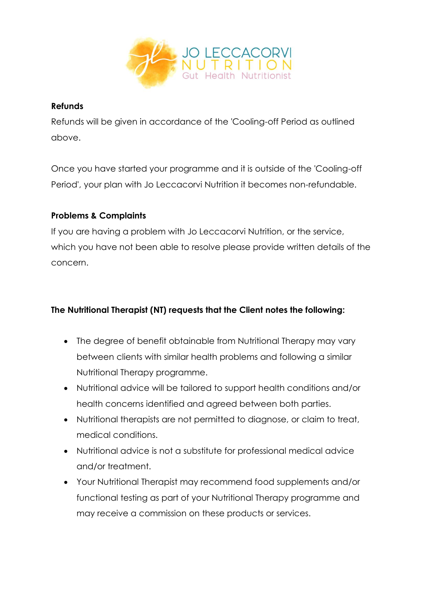

### **Refunds**

Refunds will be given in accordance of the 'Cooling-off Period as outlined above.

Once you have started your programme and it is outside of the 'Cooling-off Period', your plan with Jo Leccacorvi Nutrition it becomes non-refundable.

## **Problems & Complaints**

If you are having a problem with Jo Leccacorvi Nutrition, or the service, which you have not been able to resolve please provide written details of the concern.

## **The Nutritional Therapist (NT) requests that the Client notes the following:**

- The degree of benefit obtainable from Nutritional Therapy may vary between clients with similar health problems and following a similar Nutritional Therapy programme.
- Nutritional advice will be tailored to support health conditions and/or health concerns identified and agreed between both parties.
- Nutritional therapists are not permitted to diagnose, or claim to treat, medical conditions.
- Nutritional advice is not a substitute for professional medical advice and/or treatment.
- Your Nutritional Therapist may recommend food supplements and/or functional testing as part of your Nutritional Therapy programme and may receive a commission on these products or services.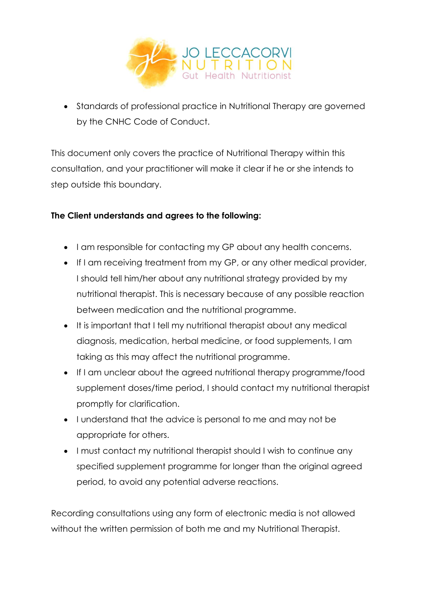

• Standards of professional practice in Nutritional Therapy are governed by the CNHC Code of Conduct.

This document only covers the practice of Nutritional Therapy within this consultation, and your practitioner will make it clear if he or she intends to step outside this boundary.

# **The Client understands and agrees to the following:**

- I am responsible for contacting my GP about any health concerns.
- If I am receiving treatment from my GP, or any other medical provider, I should tell him/her about any nutritional strategy provided by my nutritional therapist. This is necessary because of any possible reaction between medication and the nutritional programme.
- It is important that I tell my nutritional therapist about any medical diagnosis, medication, herbal medicine, or food supplements, I am taking as this may affect the nutritional programme.
- If I am unclear about the agreed nutritional therapy programme/food supplement doses/time period, I should contact my nutritional therapist promptly for clarification.
- I understand that the advice is personal to me and may not be appropriate for others.
- I must contact my nutritional therapist should I wish to continue any specified supplement programme for longer than the original agreed period, to avoid any potential adverse reactions.

Recording consultations using any form of electronic media is not allowed without the written permission of both me and my Nutritional Therapist.